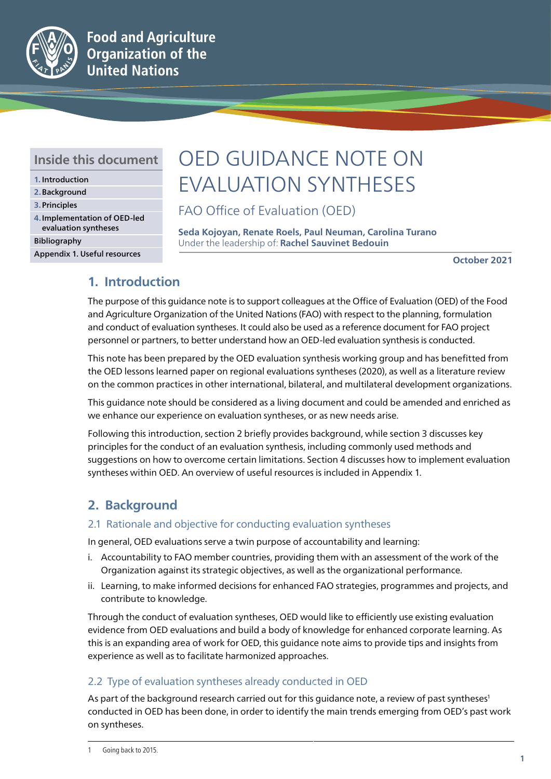

### **Inside this document**

- **1.** Introduction
- **2.**Background
- **3.**Principles
- **4.**Implementation of OED-led evaluation syntheses Bibliography
- 

Appendix 1. Useful resources

# OED GUIDANCE NOTE ON EVALUATION SYNTHESES

FAO Office of Evaluation (OED)

**Seda Kojoyan, Renate Roels, Paul Neuman, Carolina Turano** Under the leadership of: **Rachel Sauvinet Bedouin**

**October 2021**

### **1. Introduction**

The purpose of this guidance note is to support colleagues at the Office of Evaluation (OED) of the Food and Agriculture Organization of the United Nations (FAO) with respect to the planning, formulation and conduct of evaluation syntheses. It could also be used as a reference document for FAO project personnel or partners, to better understand how an OED-led evaluation synthesis is conducted.

This note has been prepared by the OED evaluation synthesis working group and has benefitted from the OED lessons learned paper on regional evaluations syntheses (2020), as well as a literature review on the common practices in other international, bilateral, and multilateral development organizations.

This guidance note should be considered as a living document and could be amended and enriched as we enhance our experience on evaluation syntheses, or as new needs arise.

Following this introduction, section 2 briefly provides background, while section 3 discusses key principles for the conduct of an evaluation synthesis, including commonly used methods and suggestions on how to overcome certain limitations. Section 4 discusses how to implement evaluation syntheses within OED. An overview of useful resources is included in Appendix 1.

### **2. Background**

### 2.1 Rationale and objective for conducting evaluation syntheses

In general, OED evaluations serve a twin purpose of accountability and learning:

- i. Accountability to FAO member countries, providing them with an assessment of the work of the Organization against its strategic objectives, as well as the organizational performance.
- ii. Learning, to make informed decisions for enhanced FAO strategies, programmes and projects, and contribute to knowledge.

Through the conduct of evaluation syntheses, OED would like to efficiently use existing evaluation evidence from OED evaluations and build a body of knowledge for enhanced corporate learning. As this is an expanding area of work for OED, this guidance note aims to provide tips and insights from experience as well as to facilitate harmonized approaches.

### 2.2 Type of evaluation syntheses already conducted in OED

As part of the background research carried out for this guidance note, a review of past syntheses<sup>1</sup> conducted in OED has been done, in order to identify the main trends emerging from OED's past work on syntheses.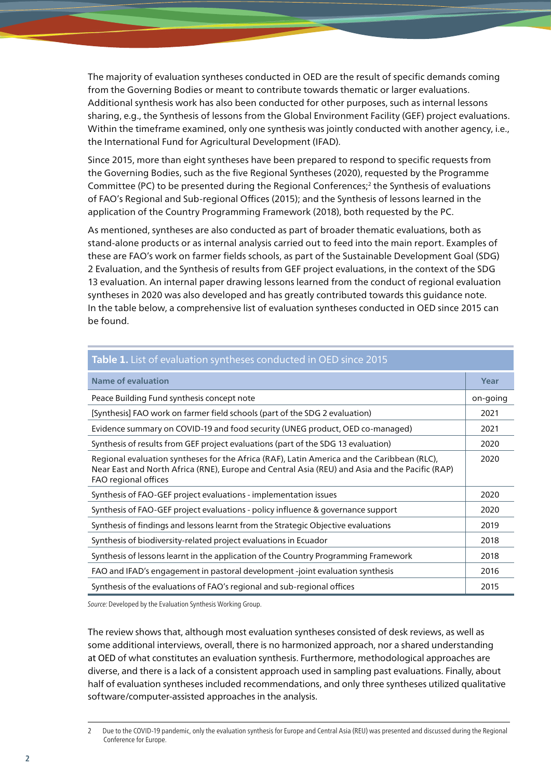The majority of evaluation syntheses conducted in OED are the result of specific demands coming from the Governing Bodies or meant to contribute towards thematic or larger evaluations. Additional synthesis work has also been conducted for other purposes, such as internal lessons sharing, e.g., the Synthesis of lessons from the Global Environment Facility (GEF) project evaluations. Within the timeframe examined, only one synthesis was jointly conducted with another agency, i.e., the International Fund for Agricultural Development (IFAD).

Since 2015, more than eight syntheses have been prepared to respond to specific requests from the Governing Bodies, such as the five Regional Syntheses (2020), requested by the Programme Committee (PC) to be presented during the Regional Conferences;<sup>2</sup> the Synthesis of evaluations of FAO's Regional and Sub-regional Offices (2015); and the Synthesis of lessons learned in the application of the Country Programming Framework (2018), both requested by the PC.

As mentioned, syntheses are also conducted as part of broader thematic evaluations, both as stand-alone products or as internal analysis carried out to feed into the main report. Examples of these are FAO's work on farmer fields schools, as part of the Sustainable Development Goal (SDG) 2 Evaluation, and the Synthesis of results from GEF project evaluations, in the context of the SDG 13 evaluation. An internal paper drawing lessons learned from the conduct of regional evaluation syntheses in 2020 was also developed and has greatly contributed towards this guidance note. In the table below, a comprehensive list of evaluation syntheses conducted in OED since 2015 can be found.

| Table 1. List of evaluation syntheses conducted in OED since 2015                                                                                                                                                    |          |  |  |  |
|----------------------------------------------------------------------------------------------------------------------------------------------------------------------------------------------------------------------|----------|--|--|--|
| <b>Name of evaluation</b>                                                                                                                                                                                            | Year     |  |  |  |
| Peace Building Fund synthesis concept note                                                                                                                                                                           | on-going |  |  |  |
| [Synthesis] FAO work on farmer field schools (part of the SDG 2 evaluation)                                                                                                                                          | 2021     |  |  |  |
| Evidence summary on COVID-19 and food security (UNEG product, OED co-managed)                                                                                                                                        | 2021     |  |  |  |
| Synthesis of results from GEF project evaluations (part of the SDG 13 evaluation)                                                                                                                                    | 2020     |  |  |  |
| Regional evaluation syntheses for the Africa (RAF), Latin America and the Caribbean (RLC),<br>Near East and North Africa (RNE), Europe and Central Asia (REU) and Asia and the Pacific (RAP)<br>FAO regional offices | 2020     |  |  |  |
| Synthesis of FAO-GEF project evaluations - implementation issues                                                                                                                                                     | 2020     |  |  |  |
| Synthesis of FAO-GEF project evaluations - policy influence & governance support                                                                                                                                     | 2020     |  |  |  |
| Synthesis of findings and lessons learnt from the Strategic Objective evaluations                                                                                                                                    | 2019     |  |  |  |
| Synthesis of biodiversity-related project evaluations in Ecuador                                                                                                                                                     | 2018     |  |  |  |
| Synthesis of lessons learnt in the application of the Country Programming Framework                                                                                                                                  | 2018     |  |  |  |
| FAO and IFAD's engagement in pastoral development -joint evaluation synthesis                                                                                                                                        | 2016     |  |  |  |
| Synthesis of the evaluations of FAO's regional and sub-regional offices                                                                                                                                              | 2015     |  |  |  |

*Source:* Developed by the Evaluation Synthesis Working Group.

The review shows that, although most evaluation syntheses consisted of desk reviews, as well as some additional interviews, overall, there is no harmonized approach, nor a shared understanding at OED of what constitutes an evaluation synthesis. Furthermore, methodological approaches are diverse, and there is a lack of a consistent approach used in sampling past evaluations. Finally, about half of evaluation syntheses included recommendations, and only three syntheses utilized qualitative software/computer-assisted approaches in the analysis.

<sup>2</sup> Due to the COVID-19 pandemic, only the evaluation synthesis for Europe and Central Asia (REU) was presented and discussed during the Regional Conference for Europe.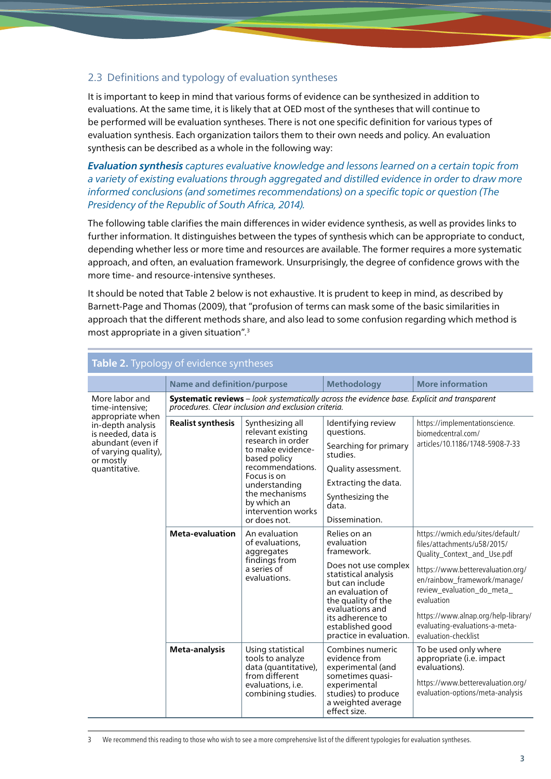### 2.3 Definitions and typology of evaluation syntheses

It is important to keep in mind that various forms of evidence can be synthesized in addition to evaluations. At the same time, it is likely that at OED most of the syntheses that will continue to be performed will be evaluation syntheses. There is not one specific definition for various types of evaluation synthesis. Each organization tailors them to their own needs and policy. An evaluation synthesis can be described as a whole in the following way:

*Evaluation synthesis captures evaluative knowledge and lessons learned on a certain topic from a variety of existing evaluations through aggregated and distilled evidence in order to draw more informed conclusions (and sometimes recommendations) on a specific topic or question (The Presidency of the Republic of South Africa, 2014).*

The following table clarifies the main differences in wider evidence synthesis, as well as provides links to further information. It distinguishes between the types of synthesis which can be appropriate to conduct, depending whether less or more time and resources are available. The former requires a more systematic approach, and often, an evaluation framework. Unsurprisingly, the degree of confidence grows with the more time- and resource-intensive syntheses.

It should be noted that Table 2 below is not exhaustive. It is prudent to keep in mind, as described by Barnett-Page and Thomas (2009), that "profusion of terms can mask some of the basic similarities in approach that the different methods share, and also lead to some confusion regarding which method is most appropriate in a given situation".3

| Table 2. Typology of evidence syntheses                                                                                                                                     |                                                                                                                                                    |                                                                                                                                                                                                                            |                                                                                                                                                                                                                                             |                                                                                                                                                                                                                                                                                                                  |  |
|-----------------------------------------------------------------------------------------------------------------------------------------------------------------------------|----------------------------------------------------------------------------------------------------------------------------------------------------|----------------------------------------------------------------------------------------------------------------------------------------------------------------------------------------------------------------------------|---------------------------------------------------------------------------------------------------------------------------------------------------------------------------------------------------------------------------------------------|------------------------------------------------------------------------------------------------------------------------------------------------------------------------------------------------------------------------------------------------------------------------------------------------------------------|--|
|                                                                                                                                                                             | <b>Name and definition/purpose</b>                                                                                                                 |                                                                                                                                                                                                                            | <b>Methodology</b>                                                                                                                                                                                                                          | <b>More information</b>                                                                                                                                                                                                                                                                                          |  |
| More labor and<br>time-intensive;<br>appropriate when<br>in-depth analysis<br>is needed, data is<br>abundant (even if<br>of varying quality),<br>or mostly<br>quantitative. | Systematic reviews - look systematically across the evidence base. Explicit and transparent<br>procedures. Clear inclusion and exclusion criteria. |                                                                                                                                                                                                                            |                                                                                                                                                                                                                                             |                                                                                                                                                                                                                                                                                                                  |  |
|                                                                                                                                                                             | <b>Realist synthesis</b>                                                                                                                           | Synthesizing all<br>relevant existing<br>research in order<br>to make evidence-<br>based policy<br>recommendations.<br>Focus is on<br>understanding<br>the mechanisms<br>by which an<br>intervention works<br>or does not. | Identifying review<br>questions.<br>Searching for primary<br>studies.<br>Quality assessment.<br>Extracting the data.<br>Synthesizing the<br>data.<br>Dissemination.                                                                         | https://implementationscience.<br>biomedcentral.com/<br>articles/10.1186/1748-5908-7-33                                                                                                                                                                                                                          |  |
|                                                                                                                                                                             | <b>Meta-evaluation</b>                                                                                                                             | An evaluation<br>of evaluations.<br>aggregates<br>findings from<br>a series of<br>evaluations.                                                                                                                             | Relies on an<br>evaluation<br>framework.<br>Does not use complex<br>statistical analysis<br>but can include<br>an evaluation of<br>the quality of the<br>evaluations and<br>its adherence to<br>established good<br>practice in evaluation. | https://wmich.edu/sites/default/<br>files/attachments/u58/2015/<br>Quality_Context_and_Use.pdf<br>https://www.betterevaluation.org/<br>en/rainbow_framework/manage/<br>review_evaluation_do_meta_<br>evaluation<br>https://www.alnap.org/help-library/<br>evaluating-evaluations-a-meta-<br>evaluation-checklist |  |
|                                                                                                                                                                             | Meta-analysis                                                                                                                                      | Using statistical<br>tools to analyze<br>data (quantitative),<br>from different<br>evaluations, i.e.<br>combining studies.                                                                                                 | Combines numeric<br>evidence from<br>experimental (and<br>sometimes quasi-<br>experimental<br>studies) to produce<br>a weighted average<br>effect size.                                                                                     | To be used only where<br>appropriate (i.e. impact<br>evaluations).<br>https://www.betterevaluation.org/<br>evaluation-options/meta-analysis                                                                                                                                                                      |  |

3 We recommend this reading to those who wish to see a more comprehensive list of the different typologies for evaluation syntheses.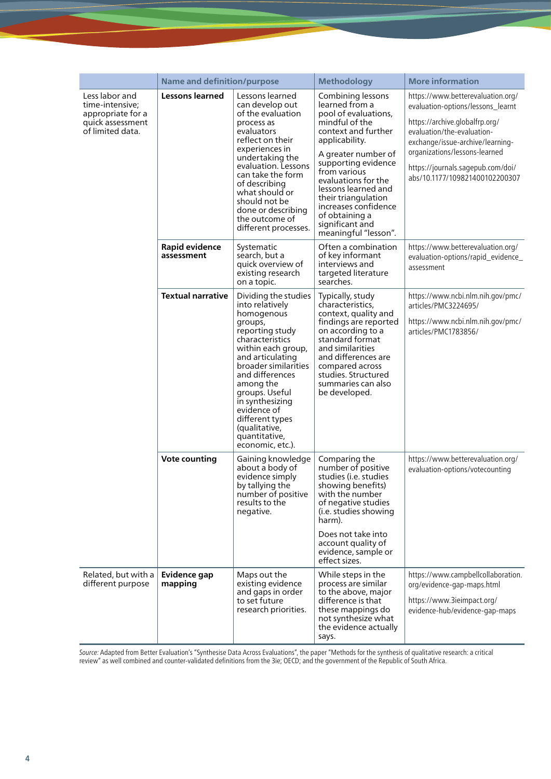|                                                                                                | <b>Name and definition/purpose</b> |                                                                                                                                                                                                                                                                                                                                       | <b>Methodology</b>                                                                                                                                                                                                                                                                                                                             | <b>More information</b>                                                                                                                                                                                                                                                            |
|------------------------------------------------------------------------------------------------|------------------------------------|---------------------------------------------------------------------------------------------------------------------------------------------------------------------------------------------------------------------------------------------------------------------------------------------------------------------------------------|------------------------------------------------------------------------------------------------------------------------------------------------------------------------------------------------------------------------------------------------------------------------------------------------------------------------------------------------|------------------------------------------------------------------------------------------------------------------------------------------------------------------------------------------------------------------------------------------------------------------------------------|
| Less labor and<br>time-intensive;<br>appropriate for a<br>quick assessment<br>of limited data. | <b>Lessons learned</b>             | Lessons learned<br>can develop out<br>of the evaluation<br>process as<br>evaluators<br>reflect on their<br>experiences in<br>undertaking the<br>evaluation. Lessons<br>can take the form<br>of describing<br>what should or<br>should not be<br>done or describing<br>the outcome of<br>different processes.                          | Combining lessons<br>learned from a<br>pool of evaluations,<br>mindful of the<br>context and further<br>applicability.<br>A greater number of<br>supporting evidence<br>from various<br>evaluations for the<br>lessons learned and<br>their triangulation<br>increases confidence<br>of obtaining a<br>significant and<br>meaningful "lesson". | https://www.betterevaluation.org/<br>evaluation-options/lessons_learnt<br>https://archive.globalfrp.org/<br>evaluation/the-evaluation-<br>exchange/issue-archive/learning-<br>organizations/lessons-learned<br>https://journals.sagepub.com/doi/<br>abs/10.1177/109821400102200307 |
|                                                                                                | Rapid evidence<br>assessment       | Systematic<br>search, but a<br>quick overview of<br>existing research<br>on a topic.                                                                                                                                                                                                                                                  | Often a combination<br>of key informant<br>interviews and<br>targeted literature<br>searches.                                                                                                                                                                                                                                                  | https://www.betterevaluation.org/<br>evaluation-options/rapid_evidence<br>assessment                                                                                                                                                                                               |
|                                                                                                | <b>Textual narrative</b>           | Dividing the studies<br>into relatively<br>homogenous<br>groups,<br>reporting study<br>characteristics<br>within each group,<br>and articulating<br>broader similarities<br>and differences<br>among the<br>groups. Useful<br>in synthesizing<br>evidence of<br>different types<br>(qualitative,<br>quantitative,<br>economic, etc.). | Typically, study<br>characteristics,<br>context, quality and<br>findings are reported<br>on according to a<br>standard format<br>and similarities<br>and differences are<br>compared across<br>studies. Structured<br>summaries can also<br>be developed.                                                                                      | https://www.ncbi.nlm.nih.gov/pmc/<br>articles/PMC3224695/<br>https://www.ncbi.nlm.nih.gov/pmc/<br>articles/PMC1783856/                                                                                                                                                             |
|                                                                                                | <b>Vote counting</b>               | Gaining knowledge<br>about a body of<br>evidence simply<br>by tallying the<br>number of positive<br>results to the<br>negative.                                                                                                                                                                                                       | Comparing the<br>number of positive<br>studies ( <i>i.e.</i> studies<br>showing benefits)<br>with the number<br>of negative studies<br>(i.e. studies showing<br>harm).<br>Does not take into<br>account quality of<br>evidence, sample or<br>effect sizes.                                                                                     | https://www.betterevaluation.org/<br>evaluation-options/votecounting                                                                                                                                                                                                               |
| Related, but with a<br>different purpose                                                       | Evidence gap<br>mapping            | Maps out the<br>existing evidence<br>and gaps in order<br>to set future<br>research priorities.                                                                                                                                                                                                                                       | While steps in the<br>process are similar<br>to the above, major<br>difference is that<br>these mappings do<br>not synthesize what<br>the evidence actually<br>says.                                                                                                                                                                           | https://www.campbellcollaboration.<br>org/evidence-gap-maps.html<br>https://www.3ieimpact.org/<br>evidence-hub/evidence-gap-maps                                                                                                                                                   |

*Source:* Adapted from Better Evaluation's "[Synthesise Data Across Evaluations](https://www.betterevaluation.org/en/rainbow_framework/synthesise/synthesise_across_evaluations)", the paper "Methods for the synthesis of qualitative research: a critical review" as well combined and counter-validated definitions from the 3ie; OECD; and the government of the Republic of South Africa.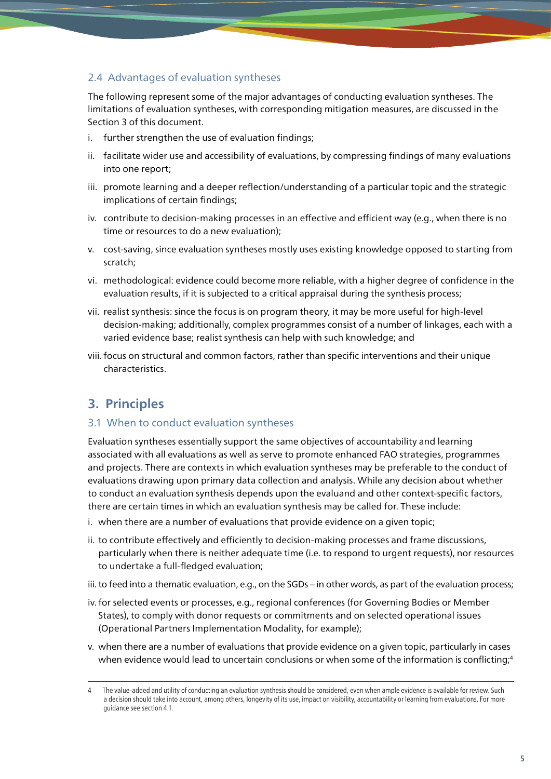### 2.4 Advantages of evaluation syntheses

The following represent some of the major advantages of conducting evaluation syntheses. The limitations of evaluation syntheses, with corresponding mitigation measures, are discussed in the Section 3 of this document.

- i. further strengthen the use of evaluation findings;
- ii. facilitate wider use and accessibility of evaluations, by compressing findings of many evaluations into one report;
- iii. promote learning and a deeper reflection/understanding of a particular topic and the strategic implications of certain findings;
- iv. contribute to decision-making processes in an effective and efficient way (e.g., when there is no time or resources to do a new evaluation);
- v. cost-saving, since evaluation syntheses mostly uses existing knowledge opposed to starting from scratch;
- vi. methodological: evidence could become more reliable, with a higher degree of confidence in the evaluation results, if it is subjected to a critical appraisal during the synthesis process;
- vii. realist synthesis: since the focus is on program theory, it may be more useful for high-level decision-making; additionally, complex programmes consist of a number of linkages, each with a varied evidence base; realist synthesis can help with such knowledge; and
- viii. focus on structural and common factors, rather than specific interventions and their unique characteristics.

### **3. Principles**

### 3.1 When to conduct evaluation syntheses

Evaluation syntheses essentially support the same objectives of accountability and learning associated with all evaluations as well as serve to promote enhanced FAO strategies, programmes and projects. There are contexts in which evaluation syntheses may be preferable to the conduct of evaluations drawing upon primary data collection and analysis. While any decision about whether to conduct an evaluation synthesis depends upon the evaluand and other context-specific factors, there are certain times in which an evaluation synthesis may be called for. These include:

- i. when there are a number of evaluations that provide evidence on a given topic;
- ii. to contribute effectively and efficiently to decision-making processes and frame discussions, particularly when there is neither adequate time (i.e. to respond to urgent requests), nor resources to undertake a full-fledged evaluation;
- iii. to feed into a thematic evaluation, e.g., on the SGDs in other words, as part of the evaluation process;
- iv.for selected events or processes, e.g., regional conferences (for Governing Bodies or Member States), to comply with donor requests or commitments and on selected operational issues (Operational Partners Implementation Modality, for example);
- v. when there are a number of evaluations that provide evidence on a given topic, particularly in cases when evidence would lead to uncertain conclusions or when some of the information is conflicting;<sup>4</sup>

The value-added and utility of conducting an evaluation synthesis should be considered, even when ample evidence is available for review. Such a decision should take into account, among others, longevity of its use, impact on visibility, accountability or learning from evaluations. For more guidance see section 4.1.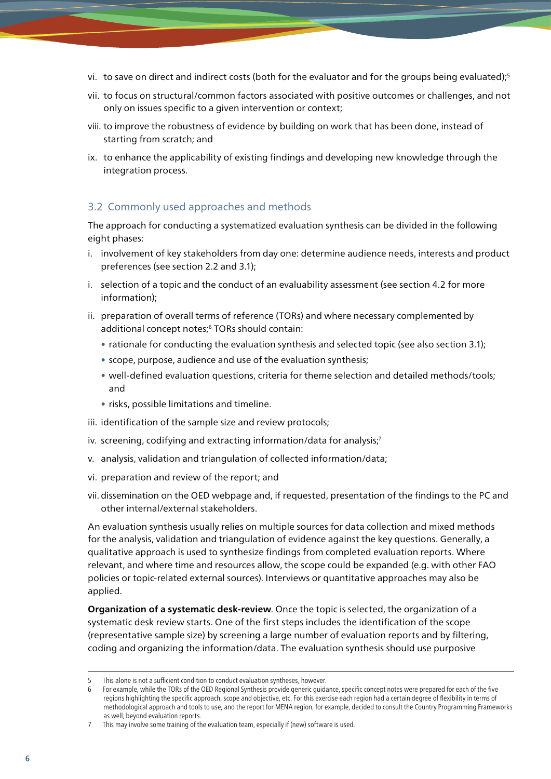- vi. to save on direct and indirect costs (both for the evaluator and for the groups being evaluated);5
- vii. to focus on structural/common factors associated with positive outcomes or challenges, and not only on issues specific to a given intervention or context;
- viii. to improve the robustness of evidence by building on work that has been done, instead of starting from scratch; and
- ix. to enhance the applicability of existing findings and developing new knowledge through the integration process.

### 3.2 Commonly used approaches and methods

The approach for conducting a systematized evaluation synthesis can be divided in the following eight phases:

- i. involvement of key stakeholders from day one: determine audience needs, interests and product preferences (see section 2.2 and 3.1);
- i. selection of a topic and the conduct of an evaluability assessment (see section 4.2 for more information);
- ii. preparation of overall terms of reference (TORs) and where necessary complemented by additional concept notes;<sup>6</sup> TORs should contain:
	- rationale for conducting the evaluation synthesis and selected topic (see also section 3.1);
	- scope, purpose, audience and use of the evaluation synthesis;
	- well-defined evaluation questions, criteria for theme selection and detailed methods/tools; and
	- risks, possible limitations and timeline.
- iii. identification of the sample size and review protocols;
- iv. screening, codifying and extracting information/data for analysis;<sup>7</sup>
- v. analysis, validation and triangulation of collected information/data;
- vi. preparation and review of the report; and
- vii. dissemination on the OED webpage and, if requested, presentation of the findings to the PC and other internal/external stakeholders.

An evaluation synthesis usually relies on multiple sources for data collection and mixed methods for the analysis, validation and triangulation of evidence against the key questions. Generally, a qualitative approach is used to synthesize findings from completed evaluation reports. Where relevant, and where time and resources allow, the scope could be expanded (e.g. with other FAO policies or topic-related external sources). Interviews or quantitative approaches may also be applied.

**Organization of a systematic desk-review**. Once the topic is selected, the organization of a systematic desk review starts. One of the first steps includes the identification of the scope (representative sample size) by screening a large number of evaluation reports and by filtering, coding and organizing the information/data. The evaluation synthesis should use purposive

This alone is not a sufficient condition to conduct evaluation syntheses, however.

<sup>6</sup> For example, while the TORs of the OED Regional Synthesis provide generic guidance, specific concept notes were prepared for each of the five regions highlighting the specific approach, scope and objective, etc. For this exercise each region had a certain degree of flexibility in terms of methodological approach and tools to use, and the report for MENA region, for example, decided to consult the Country Programming Frameworks as well, beyond evaluation reports.

<sup>7</sup> This may involve some training of the evaluation team, especially if (new) software is used.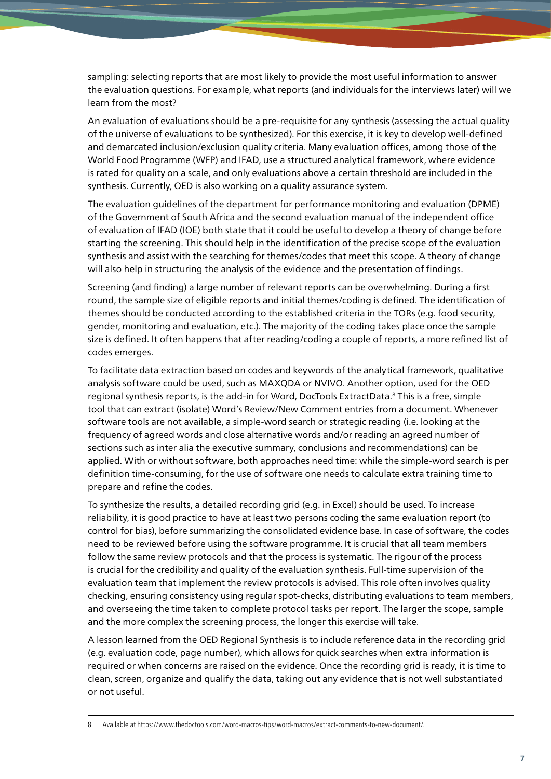sampling: selecting reports that are most likely to provide the most useful information to answer the evaluation questions. For example, what reports (and individuals for the interviews later) will we learn from the most?

An evaluation of evaluations should be a pre-requisite for any synthesis (assessing the actual quality of the universe of evaluations to be synthesized). For this exercise, it is key to develop well-defined and demarcated inclusion/exclusion quality criteria. Many evaluation offices, among those of the World Food Programme (WFP) and IFAD, use a structured analytical framework, where evidence is rated for quality on a scale, and only evaluations above a certain threshold are included in the synthesis. Currently, OED is also working on a quality assurance system.

The evaluation guidelines of the department for performance monitoring and evaluation (DPME) of the Government of South Africa and the second evaluation manual of the independent office of evaluation of IFAD (IOE) both state that it could be useful to develop a theory of change before starting the screening. This should help in the identification of the precise scope of the evaluation synthesis and assist with the searching for themes/codes that meet this scope. A theory of change will also help in structuring the analysis of the evidence and the presentation of findings.

Screening (and finding) a large number of relevant reports can be overwhelming. During a first round, the sample size of eligible reports and initial themes/coding is defined. The identification of themes should be conducted according to the established criteria in the TORs (e.g. food security, gender, monitoring and evaluation, etc.). The majority of the coding takes place once the sample size is defined. It often happens that after reading/coding a couple of reports, a more refined list of codes emerges.

To facilitate data extraction based on codes and keywords of the analytical framework, qualitative analysis software could be used, such as MAXQDA or NVIVO. Another option, used for the OED regional synthesis reports, is the add-in for Word, DocTools ExtractData.<sup>8</sup> This is a free, simple tool that can extract (isolate) Word's Review/New Comment entries from a document. Whenever software tools are not available, a simple-word search or strategic reading (i.e. looking at the frequency of agreed words and close alternative words and/or reading an agreed number of sections such as inter alia the executive summary, conclusions and recommendations) can be applied. With or without software, both approaches need time: while the simple-word search is per definition time-consuming, for the use of software one needs to calculate extra training time to prepare and refine the codes.

To synthesize the results, a detailed recording grid (e.g. in Excel) should be used. To increase reliability, it is good practice to have at least two persons coding the same evaluation report (to control for bias), before summarizing the consolidated evidence base. In case of software, the codes need to be reviewed before using the software programme. It is crucial that all team members follow the same review protocols and that the process is systematic. The rigour of the process is crucial for the credibility and quality of the evaluation synthesis. Full-time supervision of the evaluation team that implement the review protocols is advised. This role often involves quality checking, ensuring consistency using regular spot-checks, distributing evaluations to team members, and overseeing the time taken to complete protocol tasks per report. The larger the scope, sample and the more complex the screening process, the longer this exercise will take.

A lesson learned from the OED Regional Synthesis is to include reference data in the recording grid (e.g. evaluation code, page number), which allows for quick searches when extra information is required or when concerns are raised on the evidence. Once the recording grid is ready, it is time to clean, screen, organize and qualify the data, taking out any evidence that is not well substantiated or not useful.

8 Available at<https://www.thedoctools.com/word-macros-tips/word-macros/extract-comments-to-new-document/>.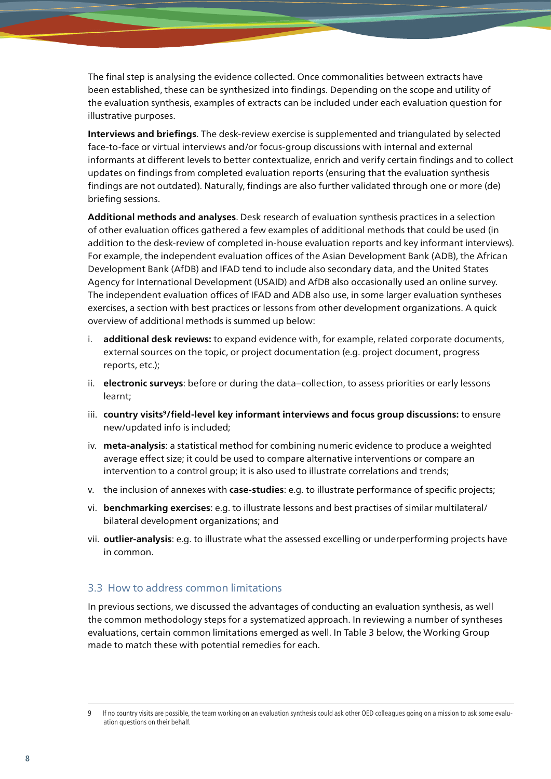The final step is analysing the evidence collected. Once commonalities between extracts have been established, these can be synthesized into findings. Depending on the scope and utility of the evaluation synthesis, examples of extracts can be included under each evaluation question for illustrative purposes.

**Interviews and briefings**. The desk-review exercise is supplemented and triangulated by selected face-to-face or virtual interviews and/or focus-group discussions with internal and external informants at different levels to better contextualize, enrich and verify certain findings and to collect updates on findings from completed evaluation reports (ensuring that the evaluation synthesis findings are not outdated). Naturally, findings are also further validated through one or more (de) briefing sessions.

**Additional methods and analyses**. Desk research of evaluation synthesis practices in a selection of other evaluation offices gathered a few examples of additional methods that could be used (in addition to the desk-review of completed in-house evaluation reports and key informant interviews). For example, the independent evaluation offices of the Asian Development Bank (ADB), the African Development Bank (AfDB) and IFAD tend to include also secondary data, and the United States Agency for International Development (USAID) and AfDB also occasionally used an online survey. The independent evaluation offices of IFAD and ADB also use, in some larger evaluation syntheses exercises, a section with best practices or lessons from other development organizations. A quick overview of additional methods is summed up below:

- i. **additional desk reviews:** to expand evidence with, for example, related corporate documents, external sources on the topic, or project documentation (e.g. project document, progress reports, etc.);
- ii. **electronic surveys**: before or during the data–collection, to assess priorities or early lessons learnt;
- iii. country visits<sup>9</sup>/field-level key informant interviews and focus group discussions: to ensure new/updated info is included;
- iv. **meta-analysis**: a statistical method for combining numeric evidence to produce a weighted average effect size; it could be used to compare alternative interventions or compare an intervention to a control group; it is also used to illustrate correlations and trends;
- v. the inclusion of annexes with **case-studies**: e.g. to illustrate performance of specific projects;
- vi. **benchmarking exercises**: e.g. to illustrate lessons and best practises of similar multilateral/ bilateral development organizations; and
- vii. **outlier-analysis**: e.g. to illustrate what the assessed excelling or underperforming projects have in common.

#### 3.3 How to address common limitations

In previous sections, we discussed the advantages of conducting an evaluation synthesis, as well the common methodology steps for a systematized approach. In reviewing a number of syntheses evaluations, certain common limitations emerged as well. In Table 3 below, the Working Group made to match these with potential remedies for each.

<sup>9</sup> If no country visits are possible, the team working on an evaluation synthesis could ask other OED colleagues going on a mission to ask some evaluation questions on their behalf.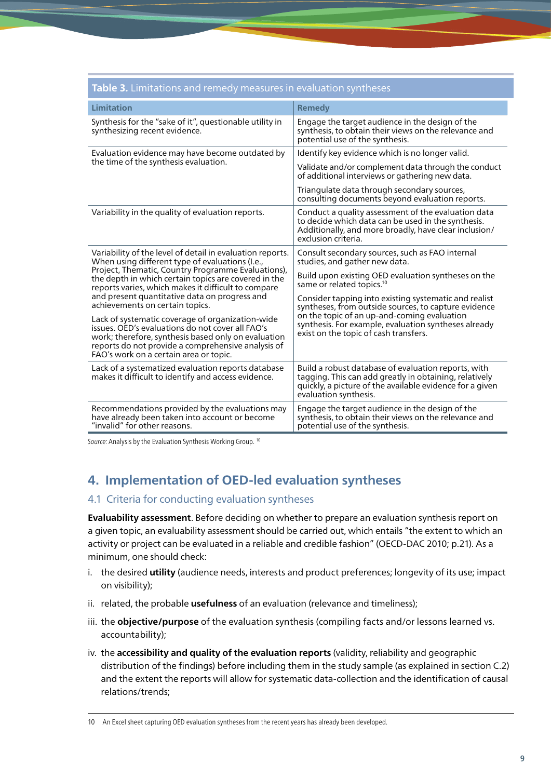| <b>Table 3.</b> Limitations and remedy measures in evaluation syntheses                                                                                                                                                                                                                                                                                               |                                                                                                                                                                                                    |  |  |  |
|-----------------------------------------------------------------------------------------------------------------------------------------------------------------------------------------------------------------------------------------------------------------------------------------------------------------------------------------------------------------------|----------------------------------------------------------------------------------------------------------------------------------------------------------------------------------------------------|--|--|--|
| Limitation                                                                                                                                                                                                                                                                                                                                                            | <b>Remedy</b>                                                                                                                                                                                      |  |  |  |
| Synthesis for the "sake of it", questionable utility in<br>synthesizing recent evidence.                                                                                                                                                                                                                                                                              | Engage the target audience in the design of the<br>synthesis, to obtain their views on the relevance and<br>potential use of the synthesis.                                                        |  |  |  |
| Evaluation evidence may have become outdated by<br>the time of the synthesis evaluation.                                                                                                                                                                                                                                                                              | Identify key evidence which is no longer valid.                                                                                                                                                    |  |  |  |
|                                                                                                                                                                                                                                                                                                                                                                       | Validate and/or complement data through the conduct<br>of additional interviews or gathering new data.                                                                                             |  |  |  |
|                                                                                                                                                                                                                                                                                                                                                                       | Triangulate data through secondary sources,<br>consulting documents beyond evaluation reports.                                                                                                     |  |  |  |
| Variability in the quality of evaluation reports.                                                                                                                                                                                                                                                                                                                     | Conduct a quality assessment of the evaluation data<br>to decide which data can be used in the synthesis.<br>Additionally, and more broadly, have clear inclusion/<br>exclusion criteria.          |  |  |  |
| Variability of the level of detail in evaluation reports.<br>When using different type of evaluations (I.e.,<br>Project, Thematic, Country Programme Evaluations),<br>the depth in which certain topics are covered in the<br>reports varies, which makes it difficult to compare<br>and present quantitative data on progress and<br>achievements on certain topics. | Consult secondary sources, such as FAO internal<br>studies, and gather new data.<br>Build upon existing OED evaluation syntheses on the<br>same or related topics. <sup>10</sup>                   |  |  |  |
|                                                                                                                                                                                                                                                                                                                                                                       | Consider tapping into existing systematic and realist<br>syntheses, from outside sources, to capture evidence                                                                                      |  |  |  |
| Lack of systematic coverage of organization-wide<br>issues. OED's evaluations do not cover all FAO's<br>work; therefore, synthesis based only on evaluation<br>reports do not provide a comprehensive analysis of<br>FAO's work on a certain area or topic.                                                                                                           | on the topic of an up-and-coming evaluation<br>synthesis. For example, evaluation syntheses already<br>exist on the topic of cash transfers.                                                       |  |  |  |
| Lack of a systematized evaluation reports database<br>makes it difficult to identify and access evidence.                                                                                                                                                                                                                                                             | Build a robust database of evaluation reports, with<br>tagging. This can add greatly in obtaining, relatively<br>quickly, a picture of the available evidence for a given<br>evaluation synthesis. |  |  |  |
| Recommendations provided by the evaluations may<br>have already been taken into account or become<br>"invalid" for other reasons.                                                                                                                                                                                                                                     | Engage the target audience in the design of the<br>synthesis, to obtain their views on the relevance and<br>potential use of the synthesis.                                                        |  |  |  |

*Source:* Analysis by the Evaluation Synthesis Working Group. 10

### **4. Implementation of OED-led evaluation syntheses**

### 4.1 Criteria for conducting evaluation syntheses

**Evaluability assessment**. Before deciding on whether to prepare an evaluation synthesis report on a given topic, an evaluability assessment should be carried out, which entails "the extent to which an activity or project can be evaluated in a reliable and credible fashion" (OECD-DAC 2010; p.21). As a minimum, one should check:

- i. the desired **utility** (audience needs, interests and product preferences; longevity of its use; impact on visibility);
- ii. related, the probable **usefulness** of an evaluation (relevance and timeliness);
- iii. the **objective/purpose** of the evaluation synthesis (compiling facts and/or lessons learned vs. accountability);
- iv. the **accessibility and quality of the evaluation reports** (validity, reliability and geographic distribution of the findings) before including them in the study sample (as explained in section C.2) and the extent the reports will allow for systematic data-collection and the identification of causal relations/trends;

10 An Excel sheet capturing OED evaluation syntheses from the recent years has already been developed.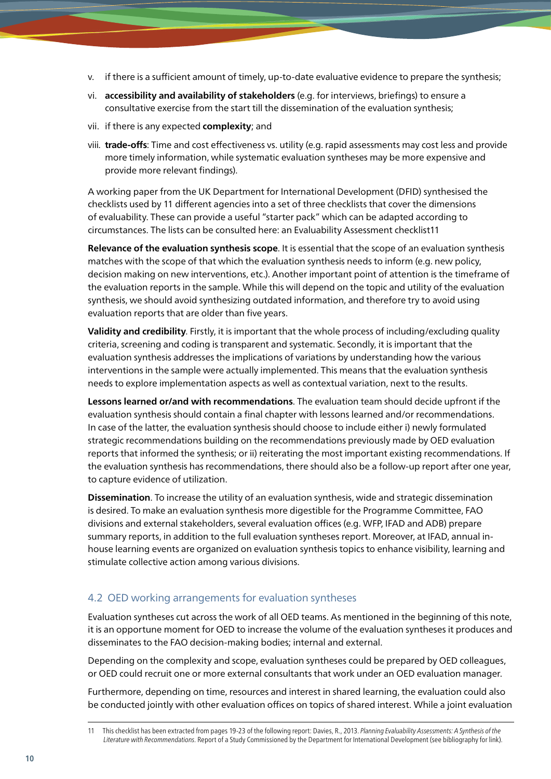- v. if there is a sufficient amount of timely, up-to-date evaluative evidence to prepare the synthesis;
- vi. **accessibility and availability of stakeholders** (e.g. for interviews, briefings) to ensure a consultative exercise from the start till the dissemination of the evaluation synthesis;
- vii. if there is any expected **complexity**; and
- viii. **trade-offs**: Time and cost effectiveness vs. utility (e.g. rapid assessments may cost less and provide more timely information, while systematic evaluation syntheses may be more expensive and provide more relevant findings).

A working paper from the UK Department for International Development (DFID) synthesised the checklists used by 11 different agencies into a set of three checklists that cover the dimensions of evaluability. These can provide a useful "starter pack" which can be adapted according to circumstances. The lists can be consulted here: [an Evaluability Assessment checklist1](https://www.betterevaluation.org/sites/default/files/An%20Evaluability%20Assessment%20checklist.docx)1

**Relevance of the evaluation synthesis scope**. It is essential that the scope of an evaluation synthesis matches with the scope of that which the evaluation synthesis needs to inform (e.g. new policy, decision making on new interventions, etc.). Another important point of attention is the timeframe of the evaluation reports in the sample. While this will depend on the topic and utility of the evaluation synthesis, we should avoid synthesizing outdated information, and therefore try to avoid using evaluation reports that are older than five years.

**Validity and credibility**. Firstly, it is important that the whole process of including/excluding quality criteria, screening and coding is transparent and systematic. Secondly, it is important that the evaluation synthesis addresses the implications of variations by understanding how the various interventions in the sample were actually implemented. This means that the evaluation synthesis needs to explore implementation aspects as well as contextual variation, next to the results.

**Lessons learned or/and with recommendations**. The evaluation team should decide upfront if the evaluation synthesis should contain a final chapter with lessons learned and/or recommendations. In case of the latter, the evaluation synthesis should choose to include either i) newly formulated strategic recommendations building on the recommendations previously made by OED evaluation reports that informed the synthesis; or ii) reiterating the most important existing recommendations. If the evaluation synthesis has recommendations, there should also be a follow-up report after one year, to capture evidence of utilization.

**Dissemination**. To increase the utility of an evaluation synthesis, wide and strategic dissemination is desired. To make an evaluation synthesis more digestible for the Programme Committee, FAO divisions and external stakeholders, several evaluation offices (e.g. WFP, IFAD and ADB) prepare summary reports, in addition to the full evaluation syntheses report. Moreover, at IFAD, annual inhouse learning events are organized on evaluation synthesis topics to enhance visibility, learning and stimulate collective action among various divisions.

### 4.2 OED working arrangements for evaluation syntheses

Evaluation syntheses cut across the work of all OED teams. As mentioned in the beginning of this note, it is an opportune moment for OED to increase the volume of the evaluation syntheses it produces and disseminates to the FAO decision-making bodies; internal and external.

Depending on the complexity and scope, evaluation syntheses could be prepared by OED colleagues, or OED could recruit one or more external consultants that work under an OED evaluation manager.

Furthermore, depending on time, resources and interest in shared learning, the evaluation could also be conducted jointly with other evaluation offices on topics of shared interest. While a joint evaluation

<sup>11</sup> This checklist has been extracted from pages 19-23 of the following report: Davies, R., 2013. *Planning Evaluability Assessments: A Synthesis of the Literature with Recommendations*. Report of a Study Commissioned by the Department for International Development (see bibliography for link).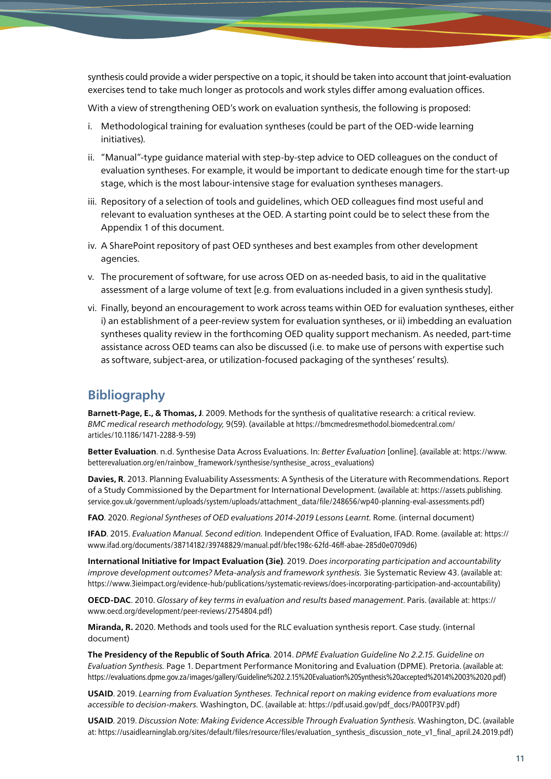synthesis could provide a wider perspective on a topic, it should be taken into account that joint-evaluation exercises tend to take much longer as protocols and work styles differ among evaluation offices.

With a view of strengthening OED's work on evaluation synthesis, the following is proposed:

- i. Methodological training for evaluation syntheses (could be part of the OED-wide learning initiatives).
- ii. "Manual"-type guidance material with step-by-step advice to OED colleagues on the conduct of evaluation syntheses. For example, it would be important to dedicate enough time for the start-up stage, which is the most labour-intensive stage for evaluation syntheses managers.
- iii. Repository of a selection of tools and guidelines, which OED colleagues find most useful and relevant to evaluation syntheses at the OED. A starting point could be to select these from the Appendix 1 of this document.
- iv. A SharePoint repository of past OED syntheses and best examples from other development agencies.
- v. The procurement of software, for use across OED on as-needed basis, to aid in the qualitative assessment of a large volume of text [e.g. from evaluations included in a given synthesis study].
- vi. Finally, beyond an encouragement to work across teams within OED for evaluation syntheses, either i) an establishment of a peer-review system for evaluation syntheses, or ii) imbedding an evaluation syntheses quality review in the forthcoming OED quality support mechanism. As needed, part-time assistance across OED teams can also be discussed (i.e. to make use of persons with expertise such as software, subject-area, or utilization-focused packaging of the syntheses' results).

### **Bibliography**

**Barnett-Page, E., & Thomas, J**. 2009. Methods for the synthesis of qualitative research: a critical review. *BMC medical research methodology,* 9(59). (available at [https://bmcmedresmethodol.biomedcentral.com/](https://bmcmedresmethodol.biomedcentral.com/articles/10.1186/1471-2288-9-59) [articles/10.1186/1471-2288-9-59](https://bmcmedresmethodol.biomedcentral.com/articles/10.1186/1471-2288-9-59))

**Better Evaluation**. n.d. Synthesise Data Across Evaluations. In: *Better Evaluation* [online]. (available at: [https://www.](https://www.betterevaluation.org/en/rainbow_framework/synthesise/synthesise_across_evaluations) [betterevaluation.org/en/rainbow\\_framework/synthesise/synthesise\\_across\\_evaluations\)](https://www.betterevaluation.org/en/rainbow_framework/synthesise/synthesise_across_evaluations)

**Davies, R**. 2013. Planning Evaluability Assessments: A Synthesis of the Literature with Recommendations. Report of a Study Commissioned by the Department for International Development. (available at: [https://assets.publishing.](https://assets.publishing.service.gov.uk/government/uploads/system/uploads/attachment_data/file/248656/wp40-planning-eval-assessments.pdf) [service.gov.uk/government/uploads/system/uploads/attachment\\_data/file/248656/wp40-planning-eval-assessments.pdf\)](https://assets.publishing.service.gov.uk/government/uploads/system/uploads/attachment_data/file/248656/wp40-planning-eval-assessments.pdf)

**FAO**. 2020. *Regional Syntheses of OED evaluations 2014-2019 Lessons Learnt.* Rome. (internal document)

**IFAD**. 2015. *Evaluation Manual. Second edition.* Independent Office of Evaluation, IFAD. Rome. (available at: [https://](https://www.ifad.org/documents/38714182/39748829/manual.pdf/bfec198c-62fd-46ff-abae-285d0e0709d6) [www.ifad.org/documents/38714182/39748829/manual.pdf/bfec198c-62fd-46ff-abae-285d0e0709d6\)](https://www.ifad.org/documents/38714182/39748829/manual.pdf/bfec198c-62fd-46ff-abae-285d0e0709d6)

**International Initiative for Impact Evaluation (3ie)**. 2019. *Does incorporating participation and accountability improve development outcomes? Meta-analysis and framework synthesis.* 3ie Systematic Review 43. (available at: <https://www.3ieimpact.org/evidence-hub/publications/systematic-reviews/does-incorporating-participation-and-accountability>)

**OECD-DAC**. 2010. *Glossary of key terms in evaluation and results based management*. Paris. (available at: [https://](https://www.oecd.org/development/peer-reviews/2754804.pdf) [www.oecd.org/development/peer-reviews/2754804.pdf\)](https://www.oecd.org/development/peer-reviews/2754804.pdf)

**Miranda, R.** 2020. Methods and tools used for the RLC evaluation synthesis report. Case study. (internal document)

**The Presidency of the Republic of South Africa**. 2014. *DPME Evaluation Guideline No 2.2.15. Guideline on Evaluation Synthesis.* Page 1. Department Performance Monitoring and Evaluation (DPME). Pretoria. (available at: <https://evaluations.dpme.gov.za/images/gallery/Guideline%202.2.15%20Evaluation%20Synthesis%20accepted%2014%2003%2020.pdf>)

**USAID**. 2019. *Learning from Evaluation Syntheses. Technical report on making evidence from evaluations more accessible to decision-makers.* Washington, DC. (available at: [https://pdf.usaid.gov/pdf\\_docs/PA00TP3V.pdf](https://pdf.usaid.gov/pdf_docs/PA00TP3V.pdf))

**USAID**. 2019. *Discussion Note: Making Evidence Accessible Through Evaluation Synthesis.* Washington, DC. (available at: [https://usaidlearninglab.org/sites/default/files/resource/files/evaluation\\_synthesis\\_discussion\\_note\\_v1\\_final\\_april.24.2019.pdf](https://usaidlearninglab.org/sites/default/files/resource/files/evaluation_synthesis_discussion_note_v1_final_april.24.2019.pdf))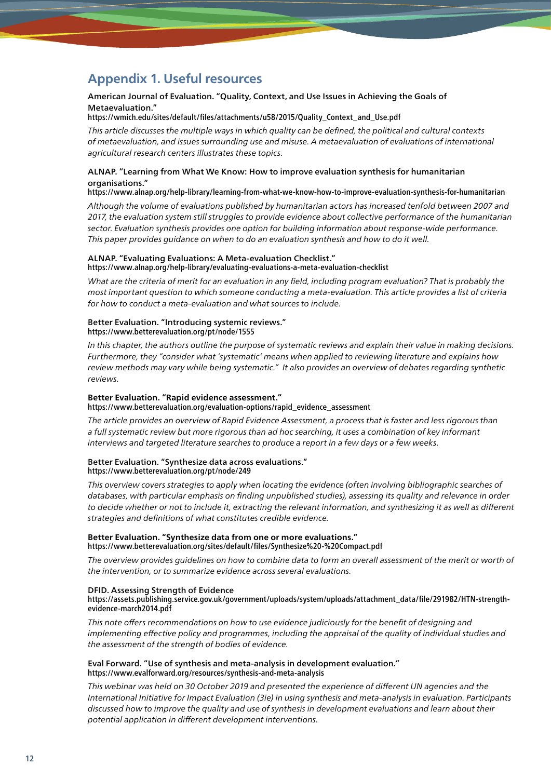### **Appendix 1. Useful resources**

#### American Journal of Evaluation. "Quality, Context, and Use Issues in Achieving the Goals of Metaevaluation."

[https://wmich.edu/sites/default/files/attachments/u58/2015/Quality\\_Context\\_and\\_Use.pdf](https://wmich.edu/sites/default/files/attachments/u58/2015/Quality_Context_and_Use.pdf)

*This article discusses the multiple ways in which quality can be defined, the political and cultural contexts of metaevaluation, and issues surrounding use and misuse. A metaevaluation of evaluations of international agricultural research centers illustrates these topics.*

#### ALNAP. "Learning from What We Know: How to improve evaluation synthesis for humanitarian organisations."

<https://www.alnap.org/help-library/learning-from-what-we-know-how-to-improve-evaluation-synthesis-for-humanitarian>

*Although the volume of evaluations published by humanitarian actors has increased tenfold between 2007 and 2017, the evaluation system still struggles to provide evidence about collective performance of the humanitarian sector. Evaluation synthesis provides one option for building information about response-wide performance. This paper provides guidance on when to do an evaluation synthesis and how to do it well.*

#### ALNAP. "Evaluating Evaluations: A Meta-evaluation Checklist." <https://www.alnap.org/help-library/evaluating-evaluations-a-meta-evaluation-checklist>

*What are the criteria of merit for an evaluation in any field, including program evaluation? That is probably the most important question to which someone conducting a meta-evaluation. This article provides a list of criteria for how to conduct a meta-evaluation and what sources to include.* 

#### Better Evaluation. "Introducing systemic reviews." <https://www.betterevaluation.org/pt/node/1555>

In this chapter, the authors outline the purpose of systematic reviews and explain their value in making decisions. *Furthermore, they "consider what 'systematic' means when applied to reviewing literature and explains how review methods may vary while being systematic." It also provides an overview of debates regarding synthetic reviews.*

#### **Better Evaluation. "Rapid evidence assessment."** [https://www.betterevaluation.org/evaluation-options/rapid\\_evidence\\_assessment](https://www.betterevaluation.org/evaluation-options/rapid_evidence_assessment)

*The article provides an overview of Rapid Evidence Assessment, a process that is faster and less rigorous than a full systematic review but more rigorous than ad hoc searching, it uses a combination of key informant interviews and targeted literature searches to produce a report in a few days or a few weeks.*

#### Better Evaluation. "Synthesize data across evaluations." <https://www.betterevaluation.org/pt/node/249>

This overview covers strategies to apply when locating the evidence (often involving bibliographic searches of *databases, with particular emphasis on finding unpublished studies), assessing its quality and relevance in order to decide whether or not to include it, extracting the relevant information, and synthesizing it as well as different strategies and definitions of what constitutes credible evidence.*

#### **Better Evaluation. "Synthesize data from one or more evaluations."** <https://www.betterevaluation.org/sites/default/files/Synthesize%20-%20Compact.pdf>

*The overview provides guidelines on how to combine data to form an overall assessment of the merit or worth of the intervention, or to summarize evidence across several evaluations.*

#### DFID. Assessing Strength of Evidence

#### [https://assets.publishing.service.gov.uk/government/uploads/system/uploads/attachment\\_data/file/291982/HTN-strength](https://assets.publishing.service.gov.uk/government/uploads/system/uploads/attachment_data/file/291982/HTN-strength-evidence-march2014.pdf)[evidence-march2014.pdf](https://assets.publishing.service.gov.uk/government/uploads/system/uploads/attachment_data/file/291982/HTN-strength-evidence-march2014.pdf)

*This note offers recommendations on how to use evidence judiciously for the benefit of designing and implementing effective policy and programmes, including the appraisal of the quality of individual studies and the assessment of the strength of bodies of evidence.*

#### Eval Forward. "Use of synthesis and meta-analysis in development evaluation." <https://www.evalforward.org/resources/synthesis-and-meta-analysis>

*This webinar was held on 30 October 2019 and presented the experience of different UN agencies and the International Initiative for Impact Evaluation (3ie) in using synthesis and meta-analysis in evaluation. Participants discussed how to improve the quality and use of synthesis in development evaluations and learn about their potential application in different development interventions.*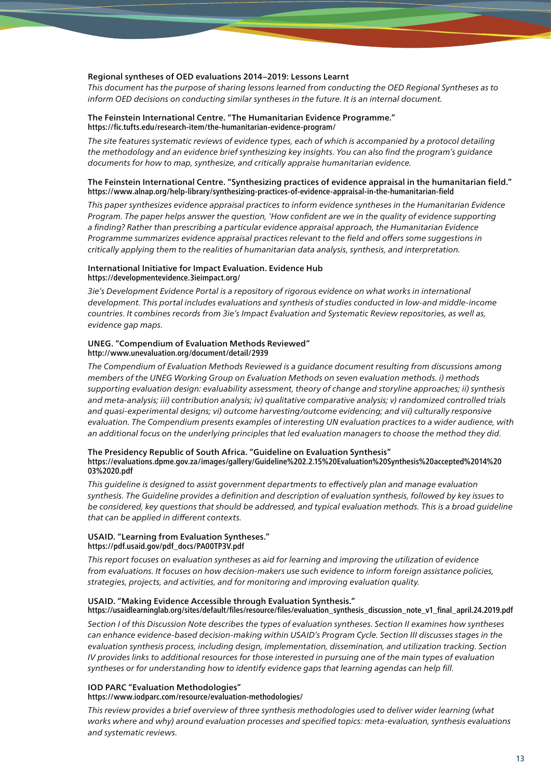#### Regional syntheses of OED evaluations 2014–2019: Lessons Learnt

*This document has the purpose of sharing lessons learned from conducting the OED Regional Syntheses as to inform OED decisions on conducting similar syntheses in the future. It is an internal document.*

#### The Feinstein International Centre. "The Humanitarian Evidence Programme." <https://fic.tufts.edu/research-item/the-humanitarian-evidence-program/>

*The site features systematic reviews of evidence types, each of which is accompanied by a protocol detailing the methodology and an evidence brief synthesizing key insights. You can also find the program's guidance documents for how to map, synthesize, and critically appraise humanitarian evidence.*

#### The Feinstein International Centre. "Synthesizing practices of evidence appraisal in the humanitarian field." <https://www.alnap.org/help-library/synthesizing-practices-of-evidence-appraisal-in-the-humanitarian-field>

*This paper synthesizes evidence appraisal practices to inform evidence syntheses in the Humanitarian Evidence Program. The paper helps answer the question, 'How confident are we in the quality of evidence supporting a finding? Rather than prescribing a particular evidence appraisal approach, the Humanitarian Evidence Programme summarizes evidence appraisal practices relevant to the field and offers some suggestions in critically applying them to the realities of humanitarian data analysis, synthesis, and interpretation.*

#### International Initiative for Impact Evaluation. Evidence Hub <https://developmentevidence.3ieimpact.org/>

*3ie's Development Evidence Portal is a repository of rigorous evidence on what works in international development. This portal includes evaluations and synthesis of studies conducted in low-and middle-income countries. It combines records from 3ie's Impact Evaluation and Systematic Review repositories, as well as, evidence gap maps.*

#### UNEG. "Compendium of Evaluation Methods Reviewed" <http://www.unevaluation.org/document/detail/2939>

*The Compendium of Evaluation Methods Reviewed is a guidance document resulting from discussions among members of the UNEG Working Group on Evaluation Methods on seven evaluation methods. i) methods supporting evaluation design: evaluability assessment, theory of change and storyline approaches; ii) synthesis and meta-analysis; iii) contribution analysis; iv) qualitative comparative analysis; v) randomized controlled trials and quasi-experimental designs; vi) outcome harvesting/outcome evidencing; and vii) culturally responsive evaluation. The Compendium presents examples of interesting UN evaluation practices to a wider audience, with an additional focus on the underlying principles that led evaluation managers to choose the method they did.*

#### The Presidency Republic of South Africa. "Guideline on Evaluation Synthesis" [https://evaluations.dpme.gov.za/images/gallery/Guideline%202.2.15%20Evaluation%20Synthesis%20accepted%2014%20](https://evaluations.dpme.gov.za/images/gallery/Guideline%202.2.15%20Evaluation%20Synthesis%20accepted%2014%2003%2020.pdf) [03%2020.pdf](https://evaluations.dpme.gov.za/images/gallery/Guideline%202.2.15%20Evaluation%20Synthesis%20accepted%2014%2003%2020.pdf)

*This guideline is designed to assist government departments to effectively plan and manage evaluation synthesis. The Guideline provides a definition and description of evaluation synthesis, followed by key issues to be considered, key questions that should be addressed, and typical evaluation methods. This is a broad guideline that can be applied in different contexts.*

#### USAID. "Learning from Evaluation Syntheses." [https://pdf.usaid.gov/pdf\\_docs/PA00TP3V.pdf](https://pdf.usaid.gov/pdf_docs/PA00TP3V.pdf)

*This report focuses on evaluation syntheses as aid for learning and improving the utilization of evidence from evaluations. It focuses on how decision-makers use such evidence to inform foreign assistance policies, strategies, projects, and activities, and for monitoring and improving evaluation quality.*

#### USAID. "Making Evidence Accessible through Evaluation Synthesis."

#### [https://usaidlearninglab.org/sites/default/files/resource/files/evaluation\\_synthesis\\_discussion\\_note\\_v1\\_final\\_april.24.2019.pdf](https://usaidlearninglab.org/sites/default/files/resource/files/evaluation_synthesis_discussion_note_v1_final_april.24.2019.pdf)

*Section I of this Discussion Note describes the types of evaluation syntheses. Section II examines how syntheses can enhance evidence-based decision-making within USAID's Program Cycle. Section III discusses stages in the evaluation synthesis process, including design, implementation, dissemination, and utilization tracking. Section IV provides links to additional resources for those interested in pursuing one of the main types of evaluation syntheses or for understanding how to identify evidence gaps that learning agendas can help fill.*

#### IOD PARC "Evaluation Methodologies"

#### <https://www.iodparc.com/resource/evaluation-methodologies/>

*This review provides a brief overview of three synthesis methodologies used to deliver wider learning (what works where and why) around evaluation processes and specified topics: meta-evaluation, synthesis evaluations and systematic reviews.*